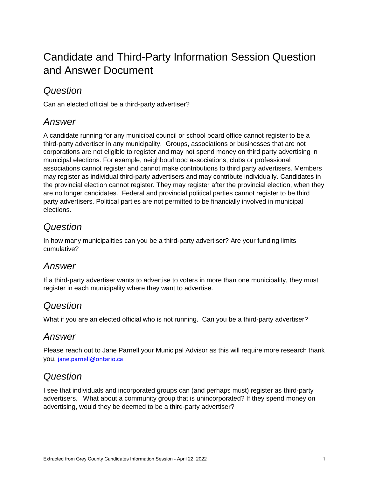# Candidate and Third-Party Information Session Question and Answer Document

### *Question*

Can an elected official be a third-party advertiser?

### *Answer*

A candidate running for any municipal council or school board office cannot register to be a third-party advertiser in any municipality. Groups, associations or businesses that are not corporations are not eligible to register and may not spend money on third party advertising in municipal elections. For example, neighbourhood associations, clubs or professional associations cannot register and cannot make contributions to third party advertisers. Members may register as individual third-party advertisers and may contribute individually. Candidates in the provincial election cannot register. They may register after the provincial election, when they are no longer candidates. Federal and provincial political parties cannot register to be third party advertisers. Political parties are not permitted to be financially involved in municipal elections.

### *Question*

In how many municipalities can you be a third-party advertiser? Are your funding limits cumulative?

### *Answer*

If a third-party advertiser wants to advertise to voters in more than one municipality, they must register in each municipality where they want to advertise.

### *Question*

What if you are an elected official who is not running. Can you be a third-party advertiser?

### *Answer*

Please reach out to Jane Parnell your Municipal Advisor as this will require more research thank you. [jane.parnell@ontario.ca](mailto:jane.parnell@ontario.ca)

## *Question*

I see that individuals and incorporated groups can (and perhaps must) register as third-party advertisers. What about a community group that is unincorporated? If they spend money on advertising, would they be deemed to be a third-party advertiser?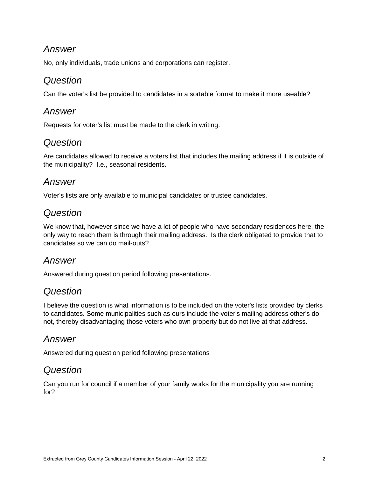### *Answer*

No, only individuals, trade unions and corporations can register.

#### *Question*

Can the voter's list be provided to candidates in a sortable format to make it more useable?

#### *Answer*

Requests for voter's list must be made to the clerk in writing.

### *Question*

Are candidates allowed to receive a voters list that includes the mailing address if it is outside of the municipality? I.e., seasonal residents.

#### *Answer*

Voter's lists are only available to municipal candidates or trustee candidates.

### *Question*

We know that, however since we have a lot of people who have secondary residences here, the only way to reach them is through their mailing address. Is the clerk obligated to provide that to candidates so we can do mail-outs?

### *Answer*

Answered during question period following presentations.

### *Question*

I believe the question is what information is to be included on the voter's lists provided by clerks to candidates. Some municipalities such as ours include the voter's mailing address other's do not, thereby disadvantaging those voters who own property but do not live at that address.

### *Answer*

Answered during question period following presentations

#### *Question*

Can you run for council if a member of your family works for the municipality you are running for?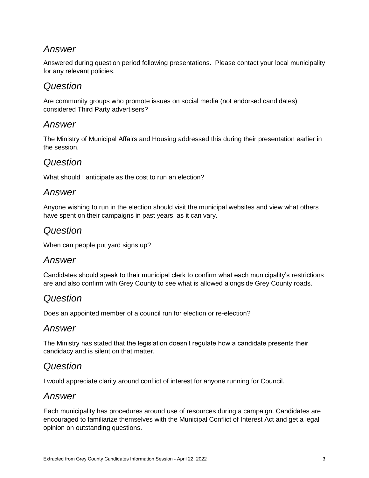### *Answer*

Answered during question period following presentations. Please contact your local municipality for any relevant policies.

#### *Question*

Are community groups who promote issues on social media (not endorsed candidates) considered Third Party advertisers?

#### *Answer*

The Ministry of Municipal Affairs and Housing addressed this during their presentation earlier in the session.

### *Question*

What should I anticipate as the cost to run an election?

#### *Answer*

Anyone wishing to run in the election should visit the municipal websites and view what others have spent on their campaigns in past years, as it can vary.

#### *Question*

When can people put yard signs up?

#### *Answer*

Candidates should speak to their municipal clerk to confirm what each municipality's restrictions are and also confirm with Grey County to see what is allowed alongside Grey County roads.

### *Question*

Does an appointed member of a council run for election or re-election?

### *Answer*

The Ministry has stated that the legislation doesn't regulate how a candidate presents their candidacy and is silent on that matter.

### *Question*

I would appreciate clarity around conflict of interest for anyone running for Council.

#### *Answer*

Each municipality has procedures around use of resources during a campaign. Candidates are encouraged to familiarize themselves with the Municipal Conflict of Interest Act and get a legal opinion on outstanding questions.